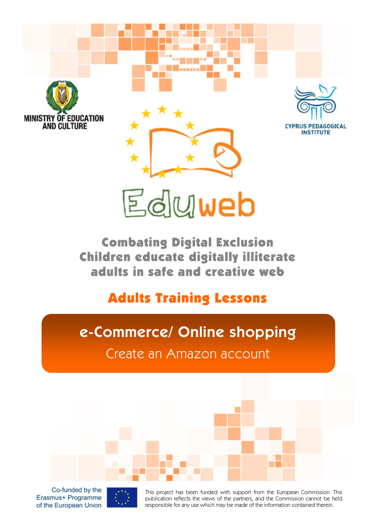

# Eduweb

Combating Digital Exclusion Children educate digitally illiterate adults in safe and creative web

#### Adults Training Lessons

## **e-Commerce/ Online shopping**

Create an Amazon account

Co-funded by the Erasmus+ Programme of the European Union



This project has been funded with support from the European Commission. This publication reflects the views of the partners, and the Commission cannot be held responsible for any use which may be made of the information contained therein.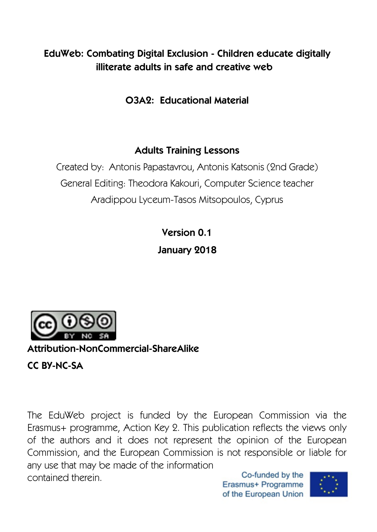#### **EduWeb: Combating Digital Exclusion - Children educate digitally illiterate adults in safe and creative web**

**O3A2: Educational Material** 

#### **Adults Training Lessons**

Created by: Antonis Papastavrou, Antonis Katsonis (2nd Grade) General Editing: Theodora Kakouri, Computer Science teacher Aradippou Lyceum-Tasos Mitsopoulos, Cyprus

> **Version 0.1 January 2018**



**Attribution-NonCommercial-ShareAlike**

**CC BY-NC-SA** 

The EduWeb project is funded by the European Commission via the Erasmus+ programme, Action Key 2. This publication reflects the views only of the authors and it does not represent the opinion of the European Commission, and the European Commission is not responsible or liable for any use that may be made of the information Co-funded by the contained therein.

Erasmus+ Programme of the European Union

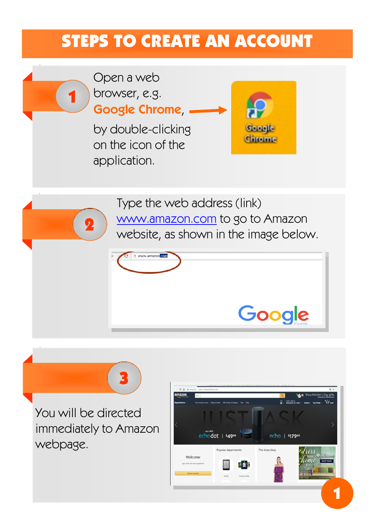## STEPS TO CREATE AN ACCOUNT



You will be directed immediately to Amazon webpage.

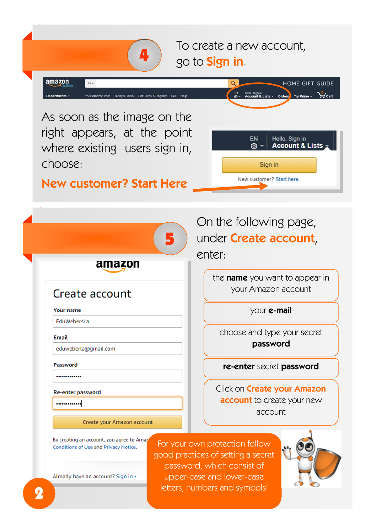To create a new account, go to **Sign in**.

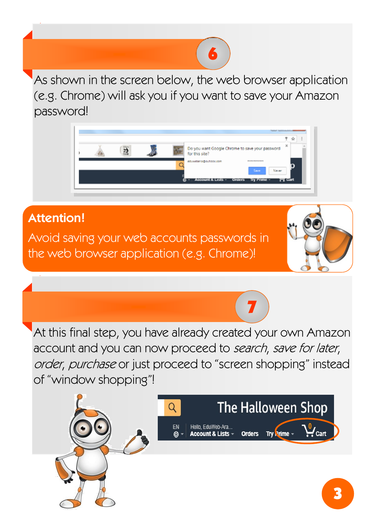As shown in the screen below, the web browser application (e.g. Chrome) will ask you if you want to save your Amazon password!

6



#### **Attention!**

Avoid saving your web accounts passwords in the web browser application (e.g. Chrome)!



At this final step, you have already created your own Amazon account and you can now proceed to search, save for later, order, purchase or just proceed to "screen shopping" instead of "window shopping"!